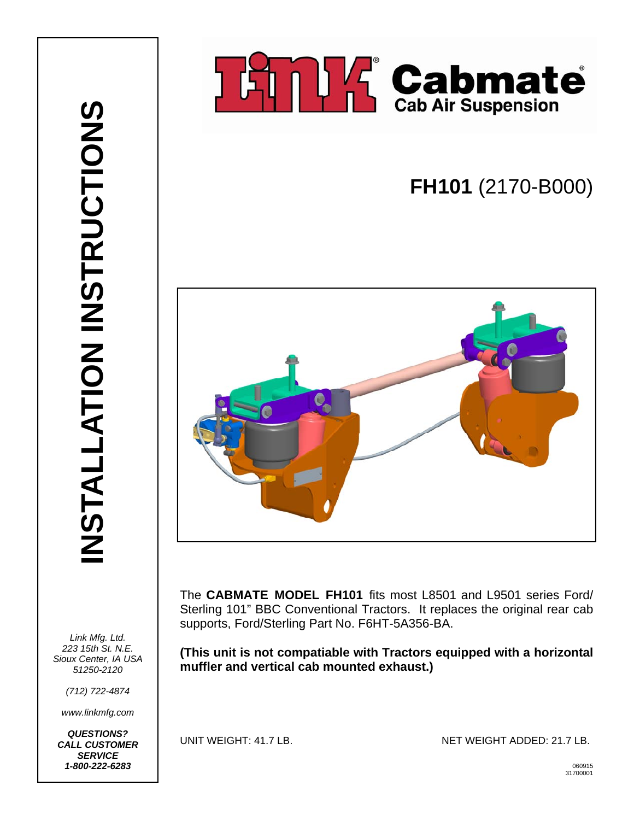

## **FH101** (2170-B000)



The **CABMATE MODEL FH101** fits most L8501 and L9501 series Ford/ Sterling 101" BBC Conventional Tractors. It replaces the original rear cab supports, Ford/Sterling Part No. F6HT-5A356-BA.

**(This unit is not compatiable with Tractors equipped with a horizontal muffler and vertical cab mounted exhaust.)** 

*(712) 722-4874* 

*Link Mfg. Ltd. 223 15th St. N.E. Sioux Center, IA USA 51250-2120* 

*www.linkmfg.com* 

*QUESTIONS? CALL CUSTOMER SERVICE 1-800-222-6283* <sup>060915</sup>

UNIT WEIGHT: 41.7 LB. NET WEIGHT ADDED: 21.7 LB.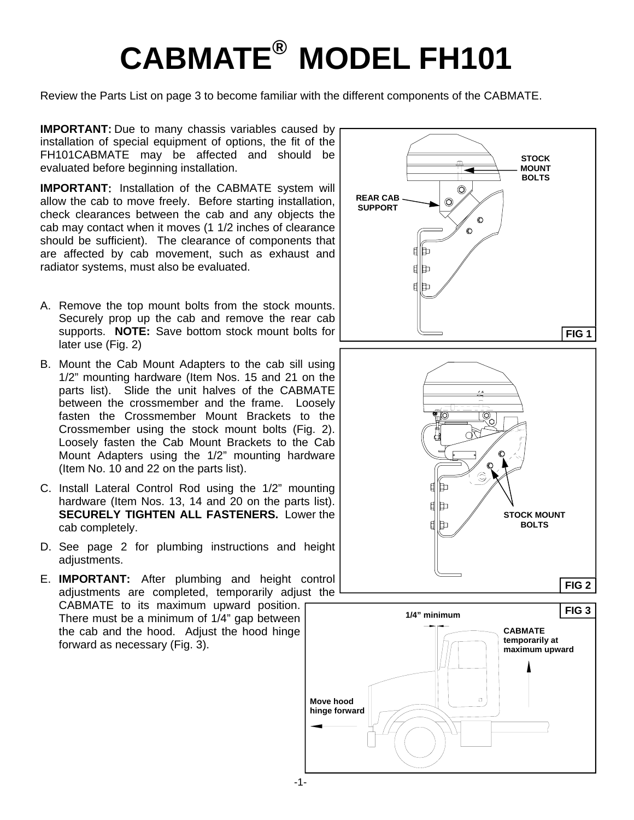# **CABMATE® MODEL FH101**

Review the Parts List on page 3 to become familiar with the different components of the CABMATE.

**IMPORTANT:** Due to many chassis variables caused by installation of special equipment of options, the fit of the FH101CABMATE may be affected and should be evaluated before beginning installation.

**IMPORTANT**: Installation of the CABMATE system will allow the cab to move freely. Before starting installation, check clearances between the cab and any objects the cab may contact when it moves (1 1/2 inches of clearance should be sufficient). The clearance of components that are affected by cab movement, such as exhaust and radiator systems, must also be evaluated.

- A. Remove the top mount bolts from the stock mounts. Securely prop up the cab and remove the rear cab supports. **NOTE:** Save bottom stock mount bolts for later use (Fig. 2)
- B. Mount the Cab Mount Adapters to the cab sill using 1/2" mounting hardware (Item Nos. 15 and 21 on the parts list). Slide the unit halves of the CABMATE between the crossmember and the frame. Loosely fasten the Crossmember Mount Brackets to the Crossmember using the stock mount bolts (Fig. 2). Loosely fasten the Cab Mount Brackets to the Cab Mount Adapters using the 1/2" mounting hardware (Item No. 10 and 22 on the parts list).
- C. Install Lateral Control Rod using the 1/2" mounting hardware (Item Nos. 13, 14 and 20 on the parts list). **SECURELY TIGHTEN ALL FASTENERS.** Lower the cab completely.
- D. See page 2 for plumbing instructions and height adiustments.

E. **IMPORTANT:** After plumbing and height control adjustments are completed, temporarily adjust the CABMATE to its maximum upward position. There must be a minimum of 1/4" gap between the cab and the hood. Adjust the hood hinge forward as necessary (Fig. 3).

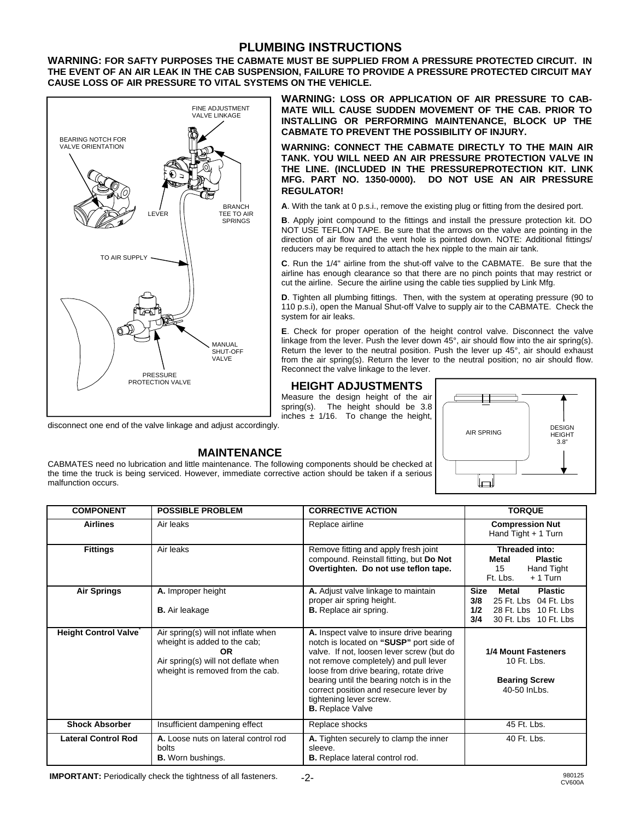#### **PLUMBING INSTRUCTIONS**

**WARNING: FOR SAFTY PURPOSES THE CABMATE MUST BE SUPPLIED FROM A PRESSURE PROTECTED CIRCUIT. IN THE EVENT OF AN AIR LEAK IN THE CAB SUSPENSION, FAILURE TO PROVIDE A PRESSURE PROTECTED CIRCUIT MAY CAUSE LOSS OF AIR PRESSURE TO VITAL SYSTEMS ON THE VEHICLE.** 



malfunction occurs.

**WARNING: LOSS OR APPLICATION OF AIR PRESSURE TO CAB-MATE WILL CAUSE SUDDEN MOVEMENT OF THE CAB. PRIOR TO INSTALLING OR PERFORMING MAINTENANCE, BLOCK UP THE CABMATE TO PREVENT THE POSSIBILITY OF INJURY.** 

**WARNING: CONNECT THE CABMATE DIRECTLY TO THE MAIN AIR TANK. YOU WILL NEED AN AIR PRESSURE PROTECTION VALVE IN THE LINE. (INCLUDED IN THE PRESSUREPROTECTION KIT. LINK MFG. PART NO. 1350-0000). DO NOT USE AN AIR PRESSURE REGULATOR!** 

**A**. With the tank at 0 p.s.i., remove the existing plug or fitting from the desired port.

**B**. Apply joint compound to the fittings and install the pressure protection kit. DO NOT USE TEFLON TAPE. Be sure that the arrows on the valve are pointing in the direction of air flow and the vent hole is pointed down. NOTE: Additional fittings/ reducers may be required to attach the hex nipple to the main air tank.

**C**. Run the 1/4" airline from the shut-off valve to the CABMATE. Be sure that the airline has enough clearance so that there are no pinch points that may restrict or cut the airline. Secure the airline using the cable ties supplied by Link Mfg.

**D**. Tighten all plumbing fittings. Then, with the system at operating pressure (90 to 110 p.s.i), open the Manual Shut-off Valve to supply air to the CABMATE. Check the system for air leaks.

**E**. Check for proper operation of the height control valve. Disconnect the valve linkage from the lever. Push the lever down 45°, air should flow into the air spring(s). Return the lever to the neutral position. Push the lever up 45°, air should exhaust from the air spring(s). Return the lever to the neutral position; no air should flow. Reconnect the valve linkage to the lever.

#### **HEIGHT ADJUSTMENTS**

Measure the design height of the air spring(s). The height should be 3.8 inches  $\pm$  1/16. To change the height,



**MAINTENANCE**  CABMATES need no lubrication and little maintenance. The following components should be checked at the time the truck is being serviced. However, immediate corrective action should be taken if a serious

| <b>COMPONENT</b>            | <b>POSSIBLE PROBLEM</b>                                                                                                                                     | <b>CORRECTIVE ACTION</b>                                                                                                                                                                                                                                                                                                                                         | <b>TORQUE</b>                                                                                                                                    |  |  |
|-----------------------------|-------------------------------------------------------------------------------------------------------------------------------------------------------------|------------------------------------------------------------------------------------------------------------------------------------------------------------------------------------------------------------------------------------------------------------------------------------------------------------------------------------------------------------------|--------------------------------------------------------------------------------------------------------------------------------------------------|--|--|
| <b>Airlines</b>             | Air leaks                                                                                                                                                   | <b>Compression Nut</b><br>Replace airline<br>Hand Tight + 1 Turn                                                                                                                                                                                                                                                                                                 |                                                                                                                                                  |  |  |
| <b>Fittings</b>             | Air leaks                                                                                                                                                   | Remove fitting and apply fresh joint<br>compound. Reinstall fitting, but Do Not<br>Overtighten. Do not use teflon tape.                                                                                                                                                                                                                                          | Threaded into:<br><b>Metal</b><br><b>Plastic</b><br>15<br>Hand Tight<br>Ft. Lbs.<br>$+1$ Turn                                                    |  |  |
| <b>Air Springs</b>          | A. Improper height<br><b>B.</b> Air leakage                                                                                                                 | A. Adjust valve linkage to maintain<br>proper air spring height.<br><b>B.</b> Replace air spring.                                                                                                                                                                                                                                                                | <b>Size</b><br><b>Metal</b><br><b>Plastic</b><br>3/8<br>25 Ft. Lbs<br>04 Ft. Lbs<br>1/2<br>28 Ft. Lbs 10 Ft. Lbs<br>3/4<br>30 Ft. Lbs 10 Ft. Lbs |  |  |
| <b>Height Control Valve</b> | Air spring(s) will not inflate when<br>wheight is added to the cab;<br><b>OR</b><br>Air spring(s) will not deflate when<br>wheight is removed from the cab. | A. Inspect valve to insure drive bearing<br>notch is located on "SUSP" port side of<br>valve. If not, loosen lever screw (but do<br>not remove completely) and pull lever<br>loose from drive bearing, rotate drive<br>bearing until the bearing notch is in the<br>correct position and resecure lever by<br>tightening lever screw.<br><b>B.</b> Replace Valve | <b>1/4 Mount Fasteners</b><br>10 Ft. Lbs.<br><b>Bearing Screw</b><br>40-50 InLbs.                                                                |  |  |
| <b>Shock Absorber</b>       | Insufficient dampening effect                                                                                                                               | Replace shocks                                                                                                                                                                                                                                                                                                                                                   | 45 Ft. Lbs.                                                                                                                                      |  |  |
| <b>Lateral Control Rod</b>  | A. Loose nuts on lateral control rod<br>bolts<br><b>B.</b> Worn bushings.                                                                                   | A. Tighten securely to clamp the inner<br>sleeve.<br><b>B.</b> Replace lateral control rod.                                                                                                                                                                                                                                                                      | 40 Ft. Lbs.                                                                                                                                      |  |  |